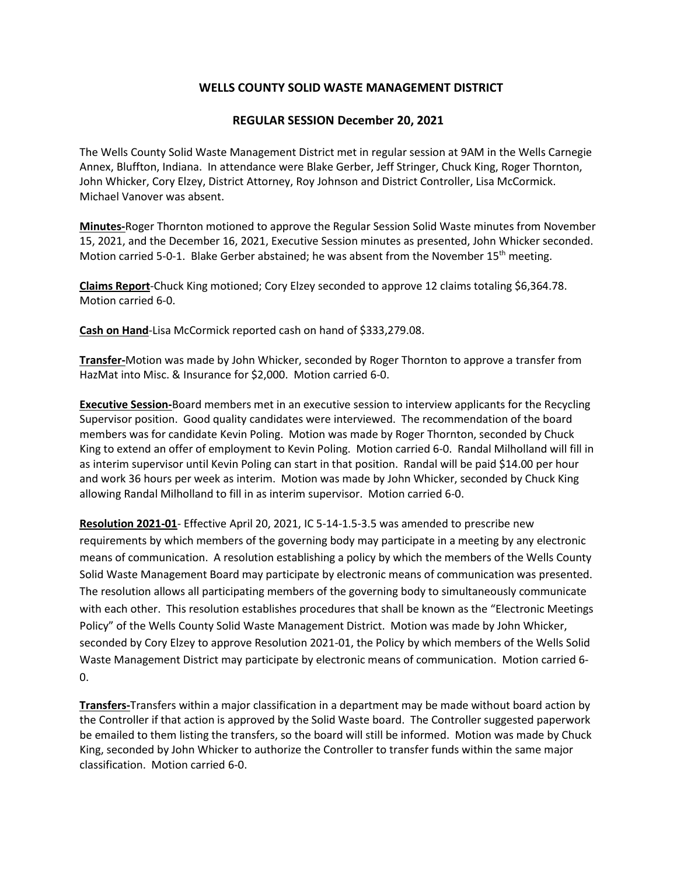## **WELLS COUNTY SOLID WASTE MANAGEMENT DISTRICT**

## **REGULAR SESSION December 20, 2021**

The Wells County Solid Waste Management District met in regular session at 9AM in the Wells Carnegie Annex, Bluffton, Indiana. In attendance were Blake Gerber, Jeff Stringer, Chuck King, Roger Thornton, John Whicker, Cory Elzey, District Attorney, Roy Johnson and District Controller, Lisa McCormick. Michael Vanover was absent.

**Minutes-**Roger Thornton motioned to approve the Regular Session Solid Waste minutes from November 15, 2021, and the December 16, 2021, Executive Session minutes as presented, John Whicker seconded. Motion carried 5-0-1. Blake Gerber abstained; he was absent from the November 15<sup>th</sup> meeting.

**Claims Report**-Chuck King motioned; Cory Elzey seconded to approve 12 claims totaling \$6,364.78. Motion carried 6-0.

**Cash on Hand**-Lisa McCormick reported cash on hand of \$333,279.08.

**Transfer-**Motion was made by John Whicker, seconded by Roger Thornton to approve a transfer from HazMat into Misc. & Insurance for \$2,000. Motion carried 6-0.

**Executive Session-**Board members met in an executive session to interview applicants for the Recycling Supervisor position. Good quality candidates were interviewed. The recommendation of the board members was for candidate Kevin Poling. Motion was made by Roger Thornton, seconded by Chuck King to extend an offer of employment to Kevin Poling. Motion carried 6-0. Randal Milholland will fill in as interim supervisor until Kevin Poling can start in that position. Randal will be paid \$14.00 per hour and work 36 hours per week as interim. Motion was made by John Whicker, seconded by Chuck King allowing Randal Milholland to fill in as interim supervisor. Motion carried 6-0.

**Resolution 2021-01**- Effective April 20, 2021, IC 5-14-1.5-3.5 was amended to prescribe new requirements by which members of the governing body may participate in a meeting by any electronic means of communication. A resolution establishing a policy by which the members of the Wells County Solid Waste Management Board may participate by electronic means of communication was presented. The resolution allows all participating members of the governing body to simultaneously communicate with each other. This resolution establishes procedures that shall be known as the "Electronic Meetings Policy" of the Wells County Solid Waste Management District. Motion was made by John Whicker, seconded by Cory Elzey to approve Resolution 2021-01, the Policy by which members of the Wells Solid Waste Management District may participate by electronic means of communication. Motion carried 6- 0.

**Transfers-**Transfers within a major classification in a department may be made without board action by the Controller if that action is approved by the Solid Waste board. The Controller suggested paperwork be emailed to them listing the transfers, so the board will still be informed. Motion was made by Chuck King, seconded by John Whicker to authorize the Controller to transfer funds within the same major classification. Motion carried 6-0.